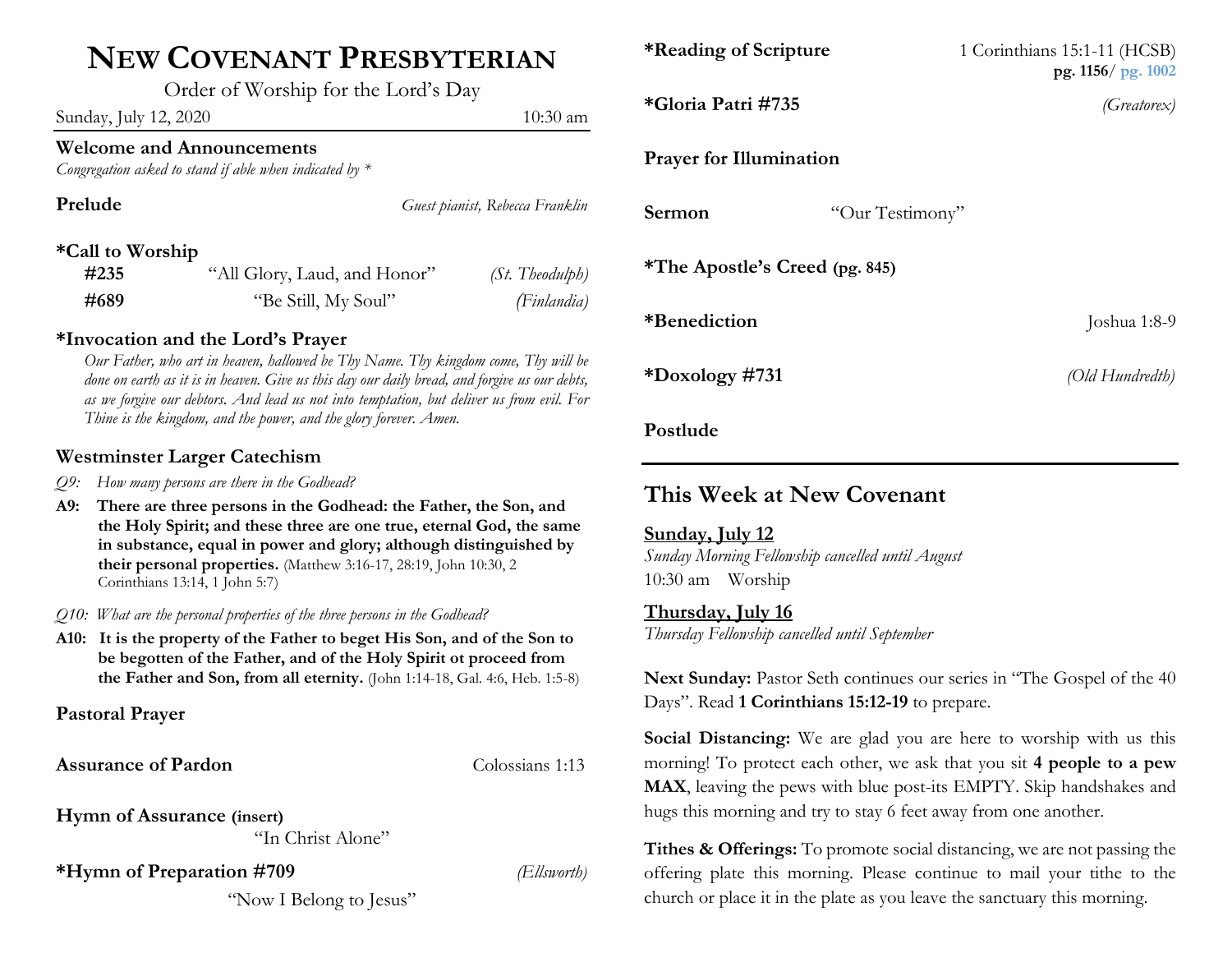# **NEW COVENANT PRESBYTERIAN**

Order of Worship for the Lord's Day

Sunday, July 12, 2020 10:30 am 10:30 am 10:30 am 10:30 am 10:30 am 10:30 am 10:30 am 10:30 am 10:30 am 10:30 am 10:30 am 10:30 am 10:30 am 10:30 am 10:30 am 10:30 am 10:30 am 10:30 am 10:30 am 10:30 am 10:30 am 10:30 am 10

### **Welcome and Announcements**

*Congregation asked to stand if able when indicated by \**

| Prelude          |                              | Guest pianist, Rebecca Franklin |
|------------------|------------------------------|---------------------------------|
| *Call to Worship |                              |                                 |
| #235             | "All Glory, Laud, and Honor" | (St. Theodulph)                 |
| #689             | "Be Still, My Soul"          | (Finlandia)                     |

#### **\*Invocation and the Lord's Prayer**

*Our Father, who art in heaven, hallowed be Thy Name. Thy kingdom come, Thy will be done on earth as it is in heaven. Give us this day our daily bread, and forgive us our debts, as we forgive our debtors. And lead us not into temptation, but deliver us from evil. For Thine is the kingdom, and the power, and the glory forever. Amen.*

#### **Westminster Larger Catechism**

- *Q9: How many persons are there in the Godhead?*
- **A9: There are three persons in the Godhead: the Father, the Son, and the Holy Spirit; and these three are one true, eternal God, the same in substance, equal in power and glory; although distinguished by their personal properties.** (Matthew 3:16-17, 28:19, John 10:30, 2 Corinthians 13:14, 1 John 5:7)
- *Q10: What are the personal properties of the three persons in the Godhead?*
- **A10: It is the property of the Father to beget His Son, and of the Son to be begotten of the Father, and of the Holy Spirit ot proceed from the Father and Son, from all eternity.** (John 1:14-18, Gal. 4:6, Heb. 1:5-8)

**Pastoral Prayer**

**Assurance of Pardon** Colossians 1:13

**Hymn of Assurance (insert)** 

"In Christ Alone"

**\*Hymn of Preparation #709** *(Ellsworth)*

"Now I Belong to Jesus"

|                         | *Reading of Scripture                 |                 | 1 Corinthians 15:1-11 (HCSB)<br>pg. $1156/pg. 1002$ |  |
|-------------------------|---------------------------------------|-----------------|-----------------------------------------------------|--|
| ım                      | *Gloria Patri #735                    |                 | (Greatorex)                                         |  |
|                         | <b>Prayer for Illumination</b>        |                 |                                                     |  |
| :lin                    | Sermon                                | "Our Testimony" |                                                     |  |
| 5h)<br><sup>l</sup> ia) | <i>*The Apostle's Creed (pg. 845)</i> |                 |                                                     |  |
|                         | *Benediction                          |                 | Joshua 1:8-9                                        |  |

## **This Week at New Covenant**

#### **Sunday, July 12**

**Postlude**

*Sunday Morning Fellowship cancelled until August* 10:30 am Worship

#### **Thursday, July 16**

*Thursday Fellowship cancelled until September*

Next Sunday: Pastor Seth continues our series in "The Gospel of the 40 Days". Read **1 Corinthians 15:12-19** to prepare.

**\*Doxology #731** *(Old Hundredth)*

**Social Distancing:** We are glad you are here to worship with us this morning! To protect each other, we ask that you sit **4 people to a pew MAX**, leaving the pews with blue post-its EMPTY. Skip handshakes and hugs this morning and try to stay 6 feet away from one another.

**Tithes & Offerings:** To promote social distancing, we are not passing the offering plate this morning. Please continue to mail your tithe to the church or place it in the plate as you leave the sanctuary this morning.